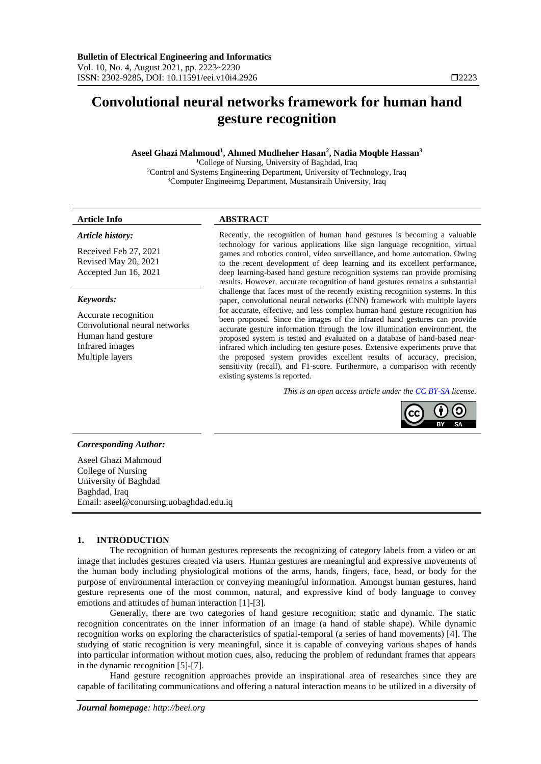# **Convolutional neural networks framework for human hand gesture recognition**

## **Aseel Ghazi Mahmoud<sup>1</sup> , Ahmed Mudheher Hasan<sup>2</sup> , Nadia Moqble Hassan<sup>3</sup>**

<sup>1</sup>College of Nursing, University of Baghdad, Iraq <sup>2</sup>Control and Systems Engineering Department, University of Technology, Iraq <sup>3</sup>Computer Engineeirng Department, Mustansiraih University, Iraq

## **Article Info ABSTRACT**

#### *Article history:*

Received Feb 27, 2021 Revised May 20, 2021 Accepted Jun 16, 2021

#### *Keywords:*

Accurate recognition Convolutional neural networks Human hand gesture Infrared images Multiple layers

Recently, the recognition of human hand gestures is becoming a valuable technology for various applications like sign language recognition, virtual games and robotics control, video surveillance, and home automation. Owing to the recent development of deep learning and its excellent performance, deep learning-based hand gesture recognition systems can provide promising results. However, accurate recognition of hand gestures remains a substantial challenge that faces most of the recently existing recognition systems. In this paper, convolutional neural networks (CNN) framework with multiple layers for accurate, effective, and less complex human hand gesture recognition has been proposed. Since the images of the infrared hand gestures can provide accurate gesture information through the low illumination environment, the proposed system is tested and evaluated on a database of hand-based nearinfrared which including ten gesture poses. Extensive experiments prove that the proposed system provides excellent results of accuracy, precision, sensitivity (recall), and F1-score. Furthermore, a comparison with recently existing systems is reported.

*This is an open access article under th[e CC BY-SA](https://creativecommons.org/licenses/by-sa/4.0/) license.*



#### *Corresponding Author:*

Aseel Ghazi Mahmoud College of Nursing University of Baghdad Baghdad, Iraq Email: aseel@conursing.uobaghdad.edu.iq

## **1. INTRODUCTION**

The recognition of human gestures represents the recognizing of category labels from a video or an image that includes gestures created via users. Human gestures are meaningful and expressive movements of the human body including physiological motions of the arms, hands, fingers, face, head, or body for the purpose of environmental interaction or conveying meaningful information. Amongst human gestures, hand gesture represents one of the most common, natural, and expressive kind of body language to convey emotions and attitudes of human interaction [1]-[3].

Generally, there are two categories of hand gesture recognition; static and dynamic. The static recognition concentrates on the inner information of an image (a hand of stable shape). While dynamic recognition works on exploring the characteristics of spatial-temporal (a series of hand movements) [4]. The studying of static recognition is very meaningful, since it is capable of conveying various shapes of hands into particular information without motion cues, also, reducing the problem of redundant frames that appears in the dynamic recognition [5]-[7].

Hand gesture recognition approaches provide an inspirational area of researches since they are capable of facilitating communications and offering a natural interaction means to be utilized in a diversity of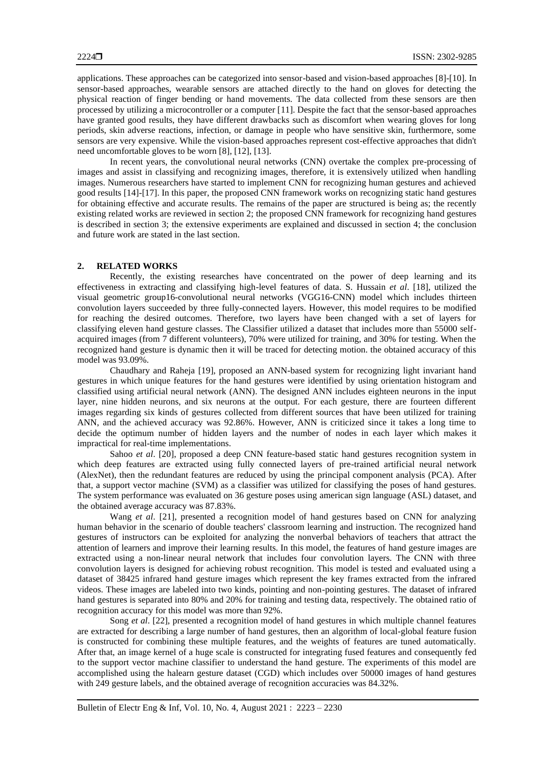applications. These approaches can be categorized into sensor-based and vision-based approaches [8]-[10]. In sensor-based approaches, wearable sensors are attached directly to the hand on gloves for detecting the physical reaction of finger bending or hand movements. The data collected from these sensors are then processed by utilizing a microcontroller or a computer [11]. Despite the fact that the sensor-based approaches have granted good results, they have different drawbacks such as discomfort when wearing gloves for long periods, skin adverse reactions, infection, or damage in people who have sensitive skin, furthermore, some sensors are very expensive. While the vision-based approaches represent cost-effective approaches that didn't need uncomfortable gloves to be worn [8], [12], [13].

In recent years, the convolutional neural networks (CNN) overtake the complex pre-processing of images and assist in classifying and recognizing images, therefore, it is extensively utilized when handling images. Numerous researchers have started to implement CNN for recognizing human gestures and achieved good results [14]-[17]. In this paper, the proposed CNN framework works on recognizing static hand gestures for obtaining effective and accurate results. The remains of the paper are structured is being as; the recently existing related works are reviewed in section 2; the proposed CNN framework for recognizing hand gestures is described in section 3; the extensive experiments are explained and discussed in section 4; the conclusion and future work are stated in the last section.

## **2. RELATED WORKS**

Recently, the existing researches have concentrated on the power of deep learning and its effectiveness in extracting and classifying high-level features of data. S. Hussain *et al*. [18], utilized the visual geometric group16-convolutional neural networks (VGG16-CNN) model which includes thirteen convolution layers succeeded by three fully-connected layers. However, this model requires to be modified for reaching the desired outcomes. Therefore, two layers have been changed with a set of layers for classifying eleven hand gesture classes. The Classifier utilized a dataset that includes more than 55000 selfacquired images (from 7 different volunteers), 70% were utilized for training, and 30% for testing. When the recognized hand gesture is dynamic then it will be traced for detecting motion. the obtained accuracy of this model was 93.09%.

Chaudhary and Raheja [19], proposed an ANN-based system for recognizing light invariant hand gestures in which unique features for the hand gestures were identified by using orientation histogram and classified using artificial neural network (ANN). The designed ANN includes eighteen neurons in the input layer, nine hidden neurons, and six neurons at the output. For each gesture, there are fourteen different images regarding six kinds of gestures collected from different sources that have been utilized for training ANN, and the achieved accuracy was 92.86%. However, ANN is criticized since it takes a long time to decide the optimum number of hidden layers and the number of nodes in each layer which makes it impractical for real-time implementations.

Sahoo *et al.* [20], proposed a deep CNN feature-based static hand gestures recognition system in which deep features are extracted using fully connected layers of pre-trained artificial neural network (AlexNet), then the redundant features are reduced by using the principal component analysis (PCA). After that, a support vector machine (SVM) as a classifier was utilized for classifying the poses of hand gestures. The system performance was evaluated on 36 gesture poses using american sign language (ASL) dataset, and the obtained average accuracy was 87.83%.

Wang *et al*. [21], presented a recognition model of hand gestures based on CNN for analyzing human behavior in the scenario of double teachers' classroom learning and instruction. The recognized hand gestures of instructors can be exploited for analyzing the nonverbal behaviors of teachers that attract the attention of learners and improve their learning results. In this model, the features of hand gesture images are extracted using a non-linear neural network that includes four convolution layers. The CNN with three convolution layers is designed for achieving robust recognition. This model is tested and evaluated using a dataset of 38425 infrared hand gesture images which represent the key frames extracted from the infrared videos. These images are labeled into two kinds, pointing and non-pointing gestures. The dataset of infrared hand gestures is separated into 80% and 20% for training and testing data, respectively. The obtained ratio of recognition accuracy for this model was more than 92%.

Song *et al*. [22], presented a recognition model of hand gestures in which multiple channel features are extracted for describing a large number of hand gestures, then an algorithm of local-global feature fusion is constructed for combining these multiple features, and the weights of features are tuned automatically. After that, an image kernel of a huge scale is constructed for integrating fused features and consequently fed to the support vector machine classifier to understand the hand gesture. The experiments of this model are accomplished using the halearn gesture dataset (CGD) which includes over 50000 images of hand gestures with 249 gesture labels, and the obtained average of recognition accuracies was 84.32%.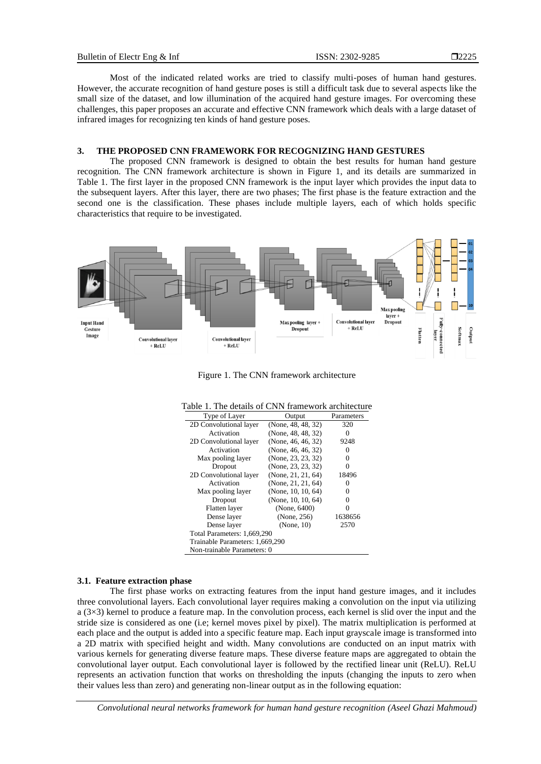T2225

Most of the indicated related works are tried to classify multi-poses of human hand gestures. However, the accurate recognition of hand gesture poses is still a difficult task due to several aspects like the small size of the dataset, and low illumination of the acquired hand gesture images. For overcoming these challenges, this paper proposes an accurate and effective CNN framework which deals with a large dataset of infrared images for recognizing ten kinds of hand gesture poses.

## **3. THE PROPOSED CNN FRAMEWORK FOR RECOGNIZING HAND GESTURES**

The proposed CNN framework is designed to obtain the best results for human hand gesture recognition. The CNN framework architecture is shown in Figure 1, and its details are summarized in Table 1. The first layer in the proposed CNN framework is the input layer which provides the input data to the subsequent layers. After this layer, there are two phases; The first phase is the feature extraction and the second one is the classification. These phases include multiple layers, each of which holds specific characteristics that require to be investigated.



Figure 1. The CNN framework architecture

| Type of Layer                   | Output             | Parameters |  |  |
|---------------------------------|--------------------|------------|--|--|
| 2D Convolutional layer          | (None, 48, 48, 32) | 320        |  |  |
| Activation                      | (None, 48, 48, 32) | 0          |  |  |
| 2D Convolutional layer          | (None, 46, 46, 32) | 9248       |  |  |
| Activation                      | (None, 46, 46, 32) | 0          |  |  |
| Max pooling layer               | (None, 23, 23, 32) | 0          |  |  |
| Dropout                         | (None, 23, 23, 32) |            |  |  |
| 2D Convolutional layer          | (None, 21, 21, 64) | 18496      |  |  |
| Activation                      | (None, 21, 21, 64) |            |  |  |
| Max pooling layer               | (None, 10, 10, 64) |            |  |  |
| Dropout                         | (None, 10, 10, 64) |            |  |  |
| Flatten layer                   | (None, 6400)       |            |  |  |
| Dense layer                     | (None, 256)        | 1638656    |  |  |
| Dense layer                     | (None, 10)         | 2570       |  |  |
| Total Parameters: 1,669,290     |                    |            |  |  |
| Trainable Parameters: 1,669,290 |                    |            |  |  |
| Non-trainable Parameters: 0     |                    |            |  |  |

#### Table 1. The details of CNN framework architecture

#### **3.1. Feature extraction phase**

The first phase works on extracting features from the input hand gesture images, and it includes three convolutional layers. Each convolutional layer requires making a convolution on the input via utilizing  $a$  (3 $\times$ 3) kernel to produce a feature map. In the convolution process, each kernel is slid over the input and the stride size is considered as one (i.e; kernel moves pixel by pixel). The matrix multiplication is performed at each place and the output is added into a specific feature map. Each input grayscale image is transformed into a 2D matrix with specified height and width. Many convolutions are conducted on an input matrix with various kernels for generating diverse feature maps. These diverse feature maps are aggregated to obtain the convolutional layer output. Each convolutional layer is followed by the rectified linear unit (ReLU). ReLU represents an activation function that works on thresholding the inputs (changing the inputs to zero when their values less than zero) and generating non-linear output as in the following equation:

*Convolutional neural networks framework for human hand gesture recognition (Aseel Ghazi Mahmoud)*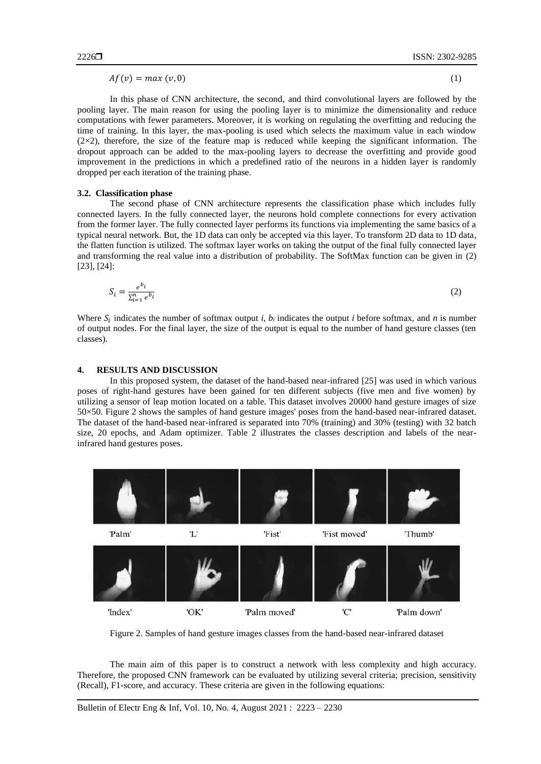$Af(v) = max(v, 0)$  (1)

In this phase of CNN architecture, the second, and third convolutional layers are followed by the pooling layer. The main reason for using the pooling layer is to minimize the dimensionality and reduce computations with fewer parameters. Moreover, it is working on regulating the overfitting and reducing the time of training. In this layer, the max-pooling is used which selects the maximum value in each window  $(2\times2)$ , therefore, the size of the feature map is reduced while keeping the significant information. The dropout approach can be added to the max-pooling layers to decrease the overfitting and provide good improvement in the predictions in which a predefined ratio of the neurons in a hidden layer is randomly dropped per each iteration of the training phase.

## **3.2. Classification phase**

The second phase of CNN architecture represents the classification phase which includes fully connected layers. In the fully connected layer, the neurons hold complete connections for every activation from the former layer. The fully connected layer performs its functions via implementing the same basics of a typical neural network. But, the 1D data can only be accepted via this layer. To transform 2D data to 1D data, the flatten function is utilized. The softmax layer works on taking the output of the final fully connected layer and transforming the real value into a distribution of probability. The SoftMax function can be given in (2) [23], [24]:

$$
S_i = \frac{e^{b_i}}{\sum_{i=1}^n e^{b_i}}\tag{2}
$$

Where  $S_i$  indicates the number of softmax output *i, b<sub>i</sub>* indicates the output *i* before softmax, and *n* is number of output nodes. For the final layer, the size of the output is equal to the number of hand gesture classes (ten classes).

## **4. RESULTS AND DISCUSSION**

In this proposed system, the dataset of the hand-based near-infrared [25] was used in which various poses of right-hand gestures have been gained for ten different subjects (five men and five women) by utilizing a sensor of leap motion located on a table. This dataset involves 20000 hand gesture images of size 50×50. Figure 2 shows the samples of hand gesture images' poses from the hand-based near-infrared dataset. The dataset of the hand-based near-infrared is separated into 70% (training) and 30% (testing) with 32 batch size, 20 epochs, and Adam optimizer. Table 2 illustrates the classes description and labels of the nearinfrared hand gestures poses.



Figure 2. Samples of hand gesture images classes from the hand-based near-infrared dataset

The main aim of this paper is to construct a network with less complexity and high accuracy. Therefore, the proposed CNN framework can be evaluated by utilizing several criteria; precision, sensitivity (Recall), F1-score, and accuracy. These criteria are given in the following equations: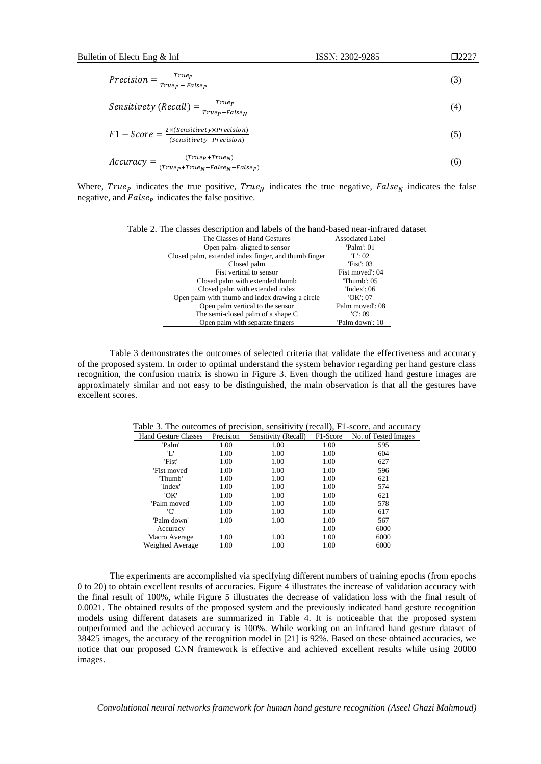**D2227** 

$$
Precision = \frac{True_{P}}{True_{P} + False_{P}} \tag{3}
$$

$$
Sensitivity (Recall) = \frac{Truep}{True p}
$$
\n(4)

$$
F1 - Score = \frac{2 \times (Sensitivity \times Precision)}{(Sensitivity + Precision)}
$$
 (5)

 $\it{True}_P + \it{False}_N$ 

$$
Accuracy = \frac{(True_{p} + True_{N})}{(True_{p} + True_{N} + False_{N} + False_{p})}
$$
 (6)

Where,  $True<sub>p</sub>$  indicates the true positive,  $True<sub>N</sub>$  indicates the true negative,  $False<sub>N</sub>$  indicates the false negative, and  $False<sub>p</sub>$  indicates the false positive.

|  |  |  |  | Table 2. The classes description and labels of the hand-based near-infrared dataset |  |  |  |
|--|--|--|--|-------------------------------------------------------------------------------------|--|--|--|
|--|--|--|--|-------------------------------------------------------------------------------------|--|--|--|

| The Classes of Hand Gestures                         | <b>Associated Label</b> |
|------------------------------------------------------|-------------------------|
| Open palm-aligned to sensor                          | $Palm$ : 01             |
| Closed palm, extended index finger, and thumb finger | T: 02                   |
| Closed palm                                          | 'Fist': $03$            |
| Fist vertical to sensor                              | 'Fist moved': 04        |
| Closed palm with extended thumb                      | $'$ Thumb': $0.5'$      |
| Closed palm with extended index                      | $'Index$ : 06           |
| Open palm with thumb and index drawing a circle      | 'OK': $07$              |
| Open palm vertical to the sensor                     | 'Palm moved': 08        |
| The semi-closed palm of a shape C                    | 'C': 09                 |
| Open palm with separate fingers                      | 'Palm down': 10         |

Table 3 demonstrates the outcomes of selected criteria that validate the effectiveness and accuracy of the proposed system. In order to optimal understand the system behavior regarding per hand gesture class recognition, the confusion matrix is shown in Figure 3. Even though the utilized hand gesture images are approximately similar and not easy to be distinguished, the main observation is that all the gestures have excellent scores.

|                             |           |                      | -- , ,   |                      |
|-----------------------------|-----------|----------------------|----------|----------------------|
| <b>Hand Gesture Classes</b> | Precision | Sensitivity (Recall) | F1-Score | No. of Tested Images |
| 'Palm'                      | 1.00      | 1.00                 | 1.00     | 595                  |
| Έ                           | 1.00      | 1.00                 | 1.00     | 604                  |
| 'Fist'                      | 1.00      | 1.00                 | 1.00     | 627                  |
| 'Fist moved'                | 1.00      | 1.00                 | 1.00     | 596                  |
| 'Thumb'                     | 1.00      | 1.00                 | 1.00     | 621                  |
| 'Index'                     | 1.00      | 1.00                 | 1.00     | 574                  |
| 'OK'                        | 1.00      | 1.00                 | 1.00     | 621                  |
| 'Palm moved'                | 1.00      | 1.00                 | 1.00     | 578                  |
| 'C'                         | 1.00      | 1.00                 | 1.00     | 617                  |
| 'Palm down'                 | 1.00      | 1.00                 | 1.00     | 567                  |
| Accuracy                    |           |                      | 1.00     | 6000                 |
| Macro Average               | 1.00      | 1.00                 | 1.00     | 6000                 |
| Weighted Average            | 1.00      | 1.00                 | 1.00     | 6000                 |

Table 3. The outcomes of precision, sensitivity (recall), F1-score, and accuracy

The experiments are accomplished via specifying different numbers of training epochs (from epochs 0 to 20) to obtain excellent results of accuracies. Figure 4 illustrates the increase of validation accuracy with the final result of 100%, while Figure 5 illustrates the decrease of validation loss with the final result of 0.0021. The obtained results of the proposed system and the previously indicated hand gesture recognition models using different datasets are summarized in Table 4. It is noticeable that the proposed system outperformed and the achieved accuracy is 100%. While working on an infrared hand gesture dataset of 38425 images, the accuracy of the recognition model in [21] is 92%. Based on these obtained accuracies, we notice that our proposed CNN framework is effective and achieved excellent results while using 20000 images.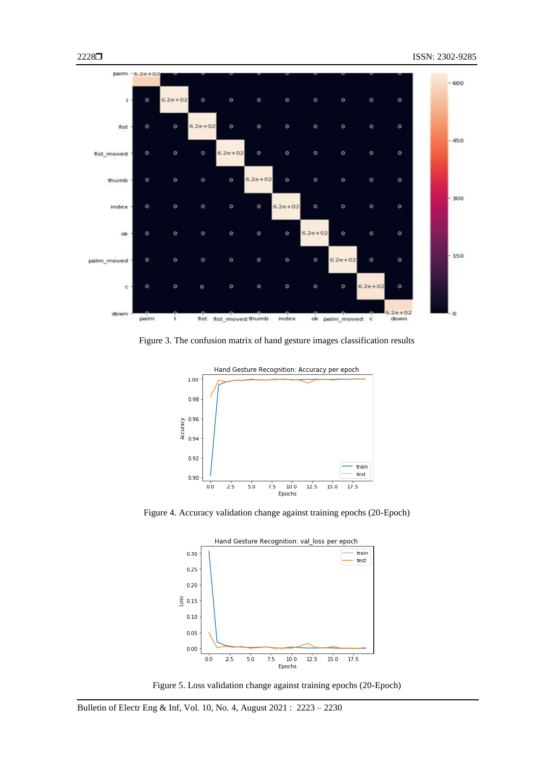

Figure 3. The confusion matrix of hand gesture images classification results



Figure 4. Accuracy validation change against training epochs (20-Epoch)



Figure 5. Loss validation change against training epochs (20-Epoch)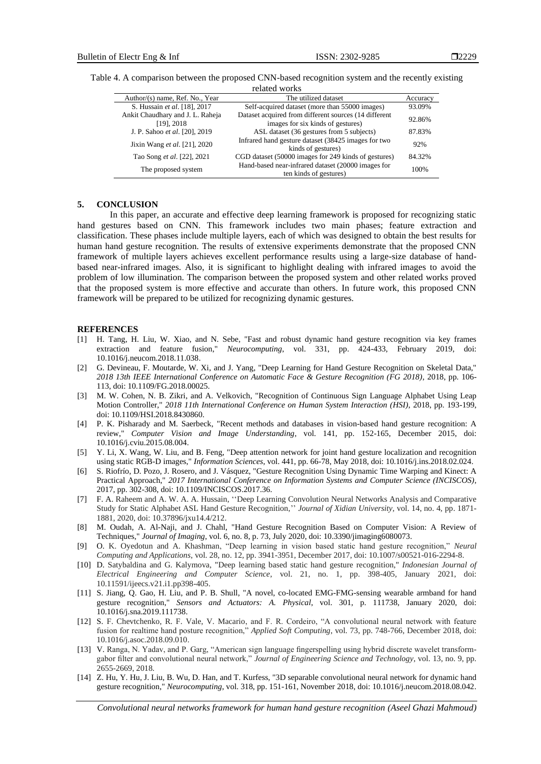| Author/(s) name, Ref. No., Year                   | The utilized dataset                                                                       | Accuracy |  |  |
|---------------------------------------------------|--------------------------------------------------------------------------------------------|----------|--|--|
| S. Hussain et al. [18], 2017                      | Self-acquired dataset (more than 55000 images)                                             | 93.09%   |  |  |
| Ankit Chaudhary and J. L. Raheja<br>$[19]$ , 2018 | Dataset acquired from different sources (14 different<br>images for six kinds of gestures) | 92.86%   |  |  |
| J. P. Sahoo et al. [20], 2019                     | ASL dataset (36 gestures from 5 subjects)                                                  | 87.83%   |  |  |
| Jixin Wang et al. [21], 2020                      | Infrared hand gesture dataset (38425 images for two<br>kinds of gestures)                  | 92%      |  |  |
| Tao Song et al. [22], 2021                        | CGD dataset (50000 images for 249 kinds of gestures)                                       | 84.32%   |  |  |
| The proposed system                               | Hand-based near-infrared dataset (20000 images for<br>ten kinds of gestures)               | 100%     |  |  |

Table 4. A comparison between the proposed CNN-based recognition system and the recently existing related works

#### **5. CONCLUSION**

In this paper, an accurate and effective deep learning framework is proposed for recognizing static hand gestures based on CNN. This framework includes two main phases; feature extraction and classification. These phases include multiple layers, each of which was designed to obtain the best results for human hand gesture recognition. The results of extensive experiments demonstrate that the proposed CNN framework of multiple layers achieves excellent performance results using a large-size database of handbased near-infrared images. Also, it is significant to highlight dealing with infrared images to avoid the problem of low illumination. The comparison between the proposed system and other related works proved that the proposed system is more effective and accurate than others. In future work, this proposed CNN framework will be prepared to be utilized for recognizing dynamic gestures.

#### **REFERENCES**

- [1] H. Tang, H. Liu, W. Xiao, and N. Sebe, "Fast and robust dynamic hand gesture recognition via key frames extraction and feature fusion," *Neurocomputing*, vol. 331, pp. 424-433, February 2019, doi: 10.1016/j.neucom.2018.11.038.
- [2] G. Devineau, F. Moutarde, W. Xi, and J. Yang, "Deep Learning for Hand Gesture Recognition on Skeletal Data," *2018 13th IEEE International Conference on Automatic Face & Gesture Recognition (FG 2018)*, 2018, pp. 106- 113, doi: 10.1109/FG.2018.00025.
- [3] M. W. Cohen, N. B. Zikri, and A. Velkovich, "Recognition of Continuous Sign Language Alphabet Using Leap Motion Controller," *2018 11th International Conference on Human System Interaction (HSI)*, 2018, pp. 193-199, doi: 10.1109/HSI.2018.8430860.
- [4] P. K. Pisharady and M. Saerbeck, "Recent methods and databases in vision-based hand gesture recognition: A review," *Computer Vision and Image Understanding*, vol. 141, pp. 152-165, December 2015, doi: 10.1016/j.cviu.2015.08.004.
- [5] Y. Li, X. Wang, W. Liu, and B. Feng, "Deep attention network for joint hand gesture localization and recognition using static RGB-D images," *Information Sciences*, vol. 441, pp. 66-78, May 2018, doi: 10.1016/j.ins.2018.02.024.
- [6] S. Riofrío, D. Pozo, J. Rosero, and J. Vásquez, "Gesture Recognition Using Dynamic Time Warping and Kinect: A Practical Approach," *2017 International Conference on Information Systems and Computer Science (INCISCOS)*, 2017, pp. 302-308, doi: 10.1109/INCISCOS.2017.36.
- [7] F. A. Raheem and A. W. A. A. Hussain, ''Deep Learning Convolution Neural Networks Analysis and Comparative Study for Static Alphabet ASL Hand Gesture Recognition,'' *Journal of Xidian University*, vol. 14, no. 4, pp. 1871- 1881, 2020, doi: 10.37896/jxu14.4/212.
- [8] M. Oudah, A. Al-Naji, and J. Chahl, "Hand Gesture Recognition Based on Computer Vision: A Review of Techniques," *Journal of Imaging*, vol. 6, no. 8, p. 73, July 2020, doi: 10.3390/jimaging6080073.
- [9] O. K. Oyedotun and A. Khashman, "Deep learning in vision based static hand gesture recognition," *Neural Computing and Applications*, vol. 28, no. 12, pp. 3941-3951, December 2017, doi: 10.1007/s00521-016-2294-8.
- [10] D. Satybaldina and G. Kalymova, "Deep learning based static hand gesture recognition," *Indonesian Journal of Electrical Engineering and Computer Science*, vol. 21, no. 1, pp. 398-405, January 2021, doi: 10.11591/ijeecs.v21.i1.pp398-405.
- [11] S. Jiang, Q. Gao, H. Liu, and P. B. Shull, "A novel, co-located EMG-FMG-sensing wearable armband for hand gesture recognition," *Sensors and Actuators: A. Physical*, vol. 301, p. 111738, January 2020, doi: 10.1016/j.sna.2019.111738.
- [12] S. F. Chevtchenko, R. F. Vale, V. Macario, and F. R. Cordeiro, "A convolutional neural network with feature fusion for realtime hand posture recognition," *Applied Soft Computing*, vol. 73, pp. 748-766, December 2018, doi: 10.1016/j.asoc.2018.09.010.
- [13] V. Ranga, N. Yadav, and P. Garg, "American sign language fingerspelling using hybrid discrete wavelet transformgabor filter and convolutional neural network," *Journal of Engineering Science and Technology*, vol. 13, no. 9, pp. 2655-2669, 2018.
- [14] Z. Hu, Y. Hu, J. Liu, B. Wu, D. Han, and T. Kurfess, "3D separable convolutional neural network for dynamic hand gesture recognition," *Neurocomputing*, vol. 318, pp. 151-161, November 2018, doi: 10.1016/j.neucom.2018.08.042.

*Convolutional neural networks framework for human hand gesture recognition (Aseel Ghazi Mahmoud)*